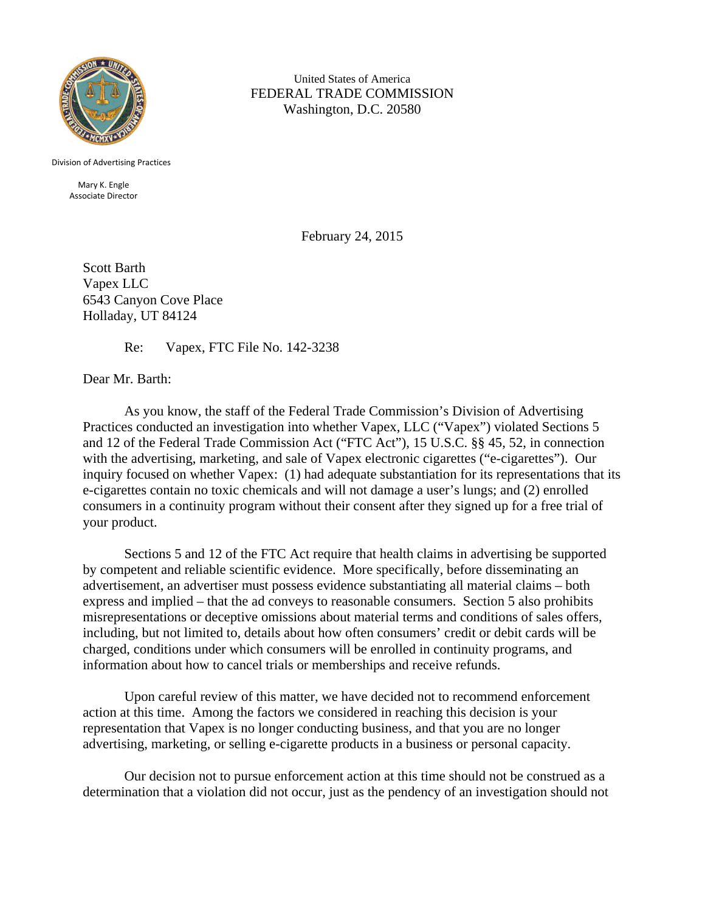

United States of America FEDERAL TRADE COMMISSION Washington, D.C. 20580

Division of Advertising Practices

Mary K. Engle Associate Director

February 24, 2015

Scott Barth Vapex LLC 6543 Canyon Cove Place Holladay, UT 84124

Re: Vapex, FTC File No. 142-3238

Dear Mr. Barth:

 As you know, the staff of the Federal Trade Commission's Division of Advertising Practices conducted an investigation into whether Vapex, LLC ("Vapex") violated Sections 5 and 12 of the Federal Trade Commission Act ("FTC Act"), 15 U.S.C. §§ 45, 52, in connection with the advertising, marketing, and sale of Vapex electronic cigarettes ("e-cigarettes"). Our inquiry focused on whether Vapex: (1) had adequate substantiation for its representations that its e-cigarettes contain no toxic chemicals and will not damage a user's lungs; and (2) enrolled consumers in a continuity program without their consent after they signed up for a free trial of your product.

Sections 5 and 12 of the FTC Act require that health claims in advertising be supported by competent and reliable scientific evidence. More specifically, before disseminating an advertisement, an advertiser must possess evidence substantiating all material claims – both express and implied – that the ad conveys to reasonable consumers. Section 5 also prohibits misrepresentations or deceptive omissions about material terms and conditions of sales offers, including, but not limited to, details about how often consumers' credit or debit cards will be charged, conditions under which consumers will be enrolled in continuity programs, and information about how to cancel trials or memberships and receive refunds.

 Upon careful review of this matter, we have decided not to recommend enforcement action at this time. Among the factors we considered in reaching this decision is your representation that Vapex is no longer conducting business, and that you are no longer advertising, marketing, or selling e-cigarette products in a business or personal capacity.

 Our decision not to pursue enforcement action at this time should not be construed as a determination that a violation did not occur, just as the pendency of an investigation should not